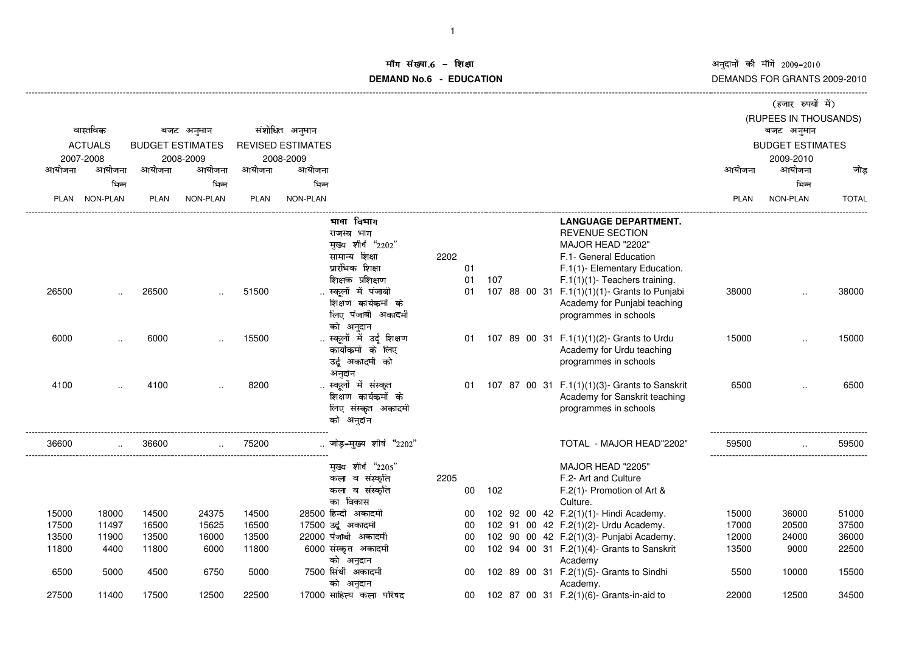अनुदानों की माँगें 2009–2010<br>DEMANDS FOR GRANTS 2009-2010

## ॉग संख्या.6 -<br>WDMs C **DEMAND No.6 - EDUCATIONराक्षा संस्कृतिका संस्कृतिका संस्कृतिका संस्कृतिका संस्कृतिका संस्कृतिका संस्कृतिका संस्कृतिका संस्कृतिका संस्**

|                                         |               |             |                         |             |                          |                                      |      |        |     |  |                                                                                |        | (हजार रुपयों में)       |              |
|-----------------------------------------|---------------|-------------|-------------------------|-------------|--------------------------|--------------------------------------|------|--------|-----|--|--------------------------------------------------------------------------------|--------|-------------------------|--------------|
|                                         |               |             |                         |             |                          |                                      |      |        |     |  |                                                                                |        | (RUPEES IN THOUSANDS)   |              |
| वास्तविक<br><b>ACTUALS</b><br>2007-2008 |               |             | बजट अनुमान              |             | संशोधित अनुमान           |                                      |      |        |     |  |                                                                                |        | बजट अनुमान              |              |
|                                         |               |             | <b>BUDGET ESTIMATES</b> |             | <b>REVISED ESTIMATES</b> |                                      |      |        |     |  |                                                                                |        | <b>BUDGET ESTIMATES</b> |              |
|                                         |               |             | 2008-2009               |             | 2008-2009                |                                      |      |        |     |  |                                                                                |        | 2009-2010               |              |
| आयोजना                                  | आयोजना        | आयोजना      | आयोजना                  | आयोजना      | आयोजना                   |                                      |      |        |     |  |                                                                                | आयोजना | आयोजना                  | जोड़         |
|                                         | भिन्न         |             | भिन्न                   |             | भिन्न                    |                                      |      |        |     |  |                                                                                |        | भिन्न                   |              |
|                                         | PLAN NON-PLAN | <b>PLAN</b> | NON-PLAN                | <b>PLAN</b> | NON-PLAN                 |                                      |      |        |     |  |                                                                                | PLAN   | NON-PLAN                | <b>TOTAL</b> |
|                                         |               |             |                         |             |                          |                                      |      |        |     |  |                                                                                |        |                         |              |
|                                         |               |             |                         |             |                          | भाषा विभाग                           |      |        |     |  | <b>LANGUAGE DEPARTMENT.</b>                                                    |        |                         |              |
|                                         |               |             |                         |             |                          | राजस्व भाग                           |      |        |     |  | <b>REVENUE SECTION</b>                                                         |        |                         |              |
|                                         |               |             |                         |             |                          | मुख्य शीर्ष "2202"                   |      |        |     |  | MAJOR HEAD "2202"                                                              |        |                         |              |
|                                         |               |             |                         |             |                          | सामान्य शिक्षा                       | 2202 |        |     |  | F.1- General Education                                                         |        |                         |              |
|                                         |               |             |                         |             |                          | प्रारंभिक शिक्षा                     |      | 01     |     |  | F.1(1)- Elementary Education.                                                  |        |                         |              |
|                                         |               |             |                         |             |                          | शिक्षक प्रशिक्षण                     |      | 01     | 107 |  | $F.1(1)(1)$ - Teachers training.                                               |        |                         |              |
| 26500                                   |               | 26500       |                         | 51500       |                          | स्कूलों में पंजाबी                   |      | 01     |     |  | 107 88 00 31 F.1(1)(1)(1)- Grants to Punjabi                                   | 38000  |                         | 38000        |
|                                         |               |             |                         |             |                          | शिक्षण कार्यकर्मों के                |      |        |     |  | Academy for Punjabi teaching                                                   |        |                         |              |
|                                         |               |             |                         |             |                          | लिए पंजाबी अकादमी                    |      |        |     |  | programmes in schools                                                          |        |                         |              |
|                                         |               |             |                         |             |                          | को अनुदान                            |      |        |     |  |                                                                                |        |                         |              |
| 6000                                    |               | 6000        |                         | 15500       |                          | स्कूलों में उर्दू शिक्षण             |      | 01     |     |  | 107 89 00 31 F.1(1)(1)(2)- Grants to Urdu                                      | 15000  |                         | 15000        |
|                                         |               |             |                         |             |                          | कार्योकमों के लिए                    |      |        |     |  | Academy for Urdu teaching                                                      |        |                         |              |
|                                         |               |             |                         |             |                          | उर्दू अकादमी को                      |      |        |     |  | programmes in schools                                                          |        |                         |              |
|                                         |               |             |                         |             |                          | अनुदान<br>स्कूलों में संस्कृत        |      |        |     |  |                                                                                |        |                         |              |
| 4100                                    |               | 4100        |                         | 8200        |                          | शिक्षण कार्यकर्मो के                 |      | 01     |     |  | 107 87 00 31 F.1(1)(1)(3)- Grants to Sanskrit<br>Academy for Sanskrit teaching | 6500   |                         | 6500         |
|                                         |               |             |                         |             |                          | लिए संस्कृत अकादमी                   |      |        |     |  | programmes in schools                                                          |        |                         |              |
|                                         |               |             |                         |             |                          | को अनुदान                            |      |        |     |  |                                                                                |        |                         |              |
|                                         |               |             |                         |             |                          |                                      |      |        |     |  |                                                                                |        |                         |              |
| 36600                                   |               | 36600       |                         | 75200       |                          | जोड़–मुख्य शीर्ष "2202"              |      |        |     |  | TOTAL - MAJOR HEAD"2202"                                                       | 59500  |                         | 59500        |
|                                         |               |             |                         |             |                          |                                      |      |        |     |  |                                                                                |        |                         |              |
|                                         |               |             |                         |             |                          | मुख्य शीर्ष "2205"                   |      |        |     |  | MAJOR HEAD "2205"                                                              |        |                         |              |
|                                         |               |             |                         |             |                          | कला व संस्कृति                       | 2205 |        |     |  | F.2- Art and Culture                                                           |        |                         |              |
|                                         |               |             |                         |             |                          | कला व संस्कृति                       |      | $00\,$ | 102 |  | F.2(1)- Promotion of Art &                                                     |        |                         |              |
|                                         |               |             |                         |             |                          | का विकास                             |      |        |     |  | Culture.                                                                       |        |                         |              |
| 15000                                   | 18000         | 14500       | 24375                   | 14500       |                          | 28500 हिन्दी अकादमी                  |      | 00     |     |  | 102 92 00 42 F.2(1)(1)- Hindi Academy.                                         | 15000  | 36000                   | 51000        |
| 17500                                   | 11497         | 16500       | 15625                   | 16500       |                          | 17500 उर्दू अकादमी                   |      | 00     |     |  | 102 91 00 42 F.2(1)(2)- Urdu Academy.                                          | 17000  | 20500                   | 37500        |
| 13500                                   | 11900         | 13500       | 16000                   | 13500       |                          | 22000 पंजाबी अकादमी                  |      | 00     |     |  | 102 90 00 42 F.2(1)(3)- Punjabi Academy.                                       | 12000  | 24000                   | 36000        |
| 11800                                   | 4400          | 11800       | 6000                    | 11800       |                          | 6000 संस्कृत अकादमी                  |      | 00     |     |  | 102 94 00 31 F.2(1)(4)- Grants to Sanskrit                                     | 13500  | 9000                    | 22500        |
|                                         |               |             |                         |             |                          | को अनुदान                            |      |        |     |  | Academy                                                                        |        |                         |              |
| 6500                                    | 5000          | 4500        | 6750                    | 5000        |                          | 7500 सिंधी अकादमी                    |      | 00     |     |  | 102 89 00 31 F.2(1)(5)- Grants to Sindhi                                       | 5500   | 10000                   | 15500        |
|                                         |               |             |                         |             |                          | को अनुदान<br>17000 साहित्य कला परिषद |      |        |     |  | Academy.                                                                       |        |                         |              |
| 27500                                   | 11400         | 17500       | 12500                   | 22500       |                          |                                      |      | 00     |     |  | 102 87 00 31 F.2(1)(6)- Grants-in-aid to                                       | 22000  | 12500                   | 34500        |

-------------------------------------------------------------------------------------------------------------------------------------------------------------------------------------------------------------------------------------------------------------------------------------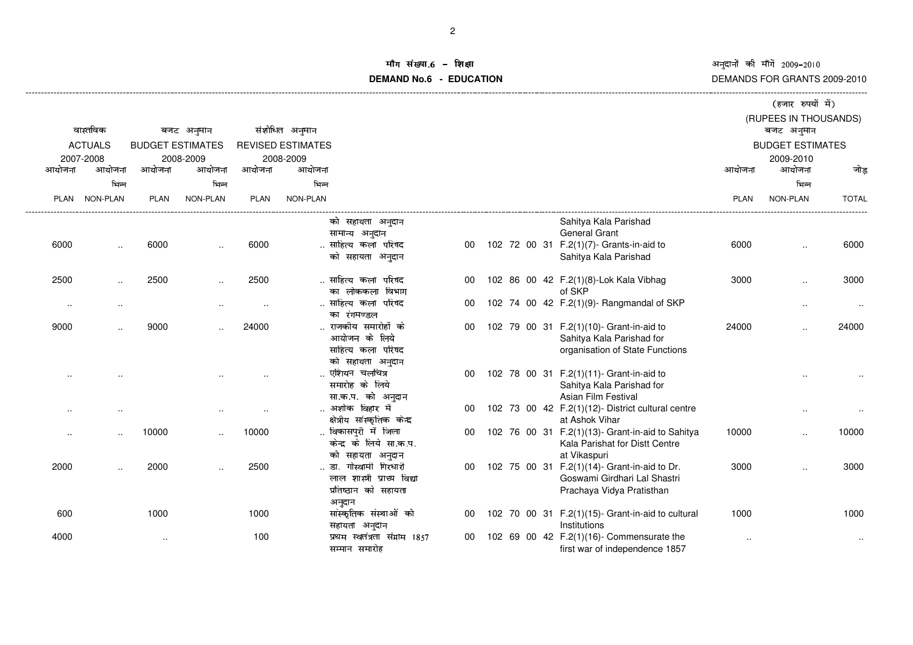अनुदानों की माँगें 2009–2010<br>DEMANDS FOR GRANTS 2009-2010

## iंग संख्या.6 -<br>'' **DEMAND No.6 - EDUCATION**.<br>**शेक्षा** संस्कृतिका अधिकारिक संस्कृतिका अधिकारिक संस्कृतिका अधिकारिक संस्कृतिका अधिकारिक संस्कृतिका अधिकारिक सं

|           |                 |                         |                      |                      |                                                     |    |  |                                                                              | (हजार रुपयों में) |                         |              |  |
|-----------|-----------------|-------------------------|----------------------|----------------------|-----------------------------------------------------|----|--|------------------------------------------------------------------------------|-------------------|-------------------------|--------------|--|
|           |                 |                         |                      |                      |                                                     |    |  |                                                                              |                   | (RUPEES IN THOUSANDS)   |              |  |
|           | वास्तविक        |                         | बजट अनुमान           |                      | संशोधित अनुमान                                      |    |  |                                                                              |                   | बजट अनुमान              |              |  |
|           | <b>ACTUALS</b>  | <b>BUDGET ESTIMATES</b> |                      |                      | <b>REVISED ESTIMATES</b>                            |    |  |                                                                              |                   | <b>BUDGET ESTIMATES</b> |              |  |
|           | 2007-2008       |                         | 2008-2009            |                      | 2008-2009                                           |    |  |                                                                              |                   | 2009-2010               |              |  |
| आयोजना    | आयोजना          | आयोजना                  | आयोजना               | आयोजना               | आयोजना                                              |    |  |                                                                              | आयोजना            | आयोजना                  | जोड़         |  |
|           | भिन्न           |                         | भिन्न                |                      | भिन्न                                               |    |  |                                                                              |                   | भिन्न                   |              |  |
| PLAN      | <b>NON-PLAN</b> | <b>PLAN</b>             | NON-PLAN             | <b>PLAN</b>          | <b>NON-PLAN</b>                                     |    |  |                                                                              | <b>PLAN</b>       | NON-PLAN                | <b>TOTAL</b> |  |
|           |                 |                         |                      |                      | को सहायता अनुदान                                    |    |  | Sahitya Kala Parishad                                                        |                   |                         |              |  |
|           |                 |                         |                      |                      | सामान्य अनुदान                                      |    |  | General Grant                                                                |                   |                         |              |  |
| 6000      | $\ldots$        | 6000                    | $\ddotsc$            | 6000                 | साहित्य कला परिषद                                   | 00 |  | 102 72 00 31 F.2(1)(7)- Grants-in-aid to                                     | 6000              | ٠.                      | 6000         |  |
|           |                 |                         |                      |                      | को सहायता अनुदान                                    |    |  | Sahitya Kala Parishad                                                        |                   |                         |              |  |
| 2500      | $\cdot$ .       | 2500                    |                      | 2500                 | साहित्य कला परिषद                                   |    |  | 102 86 00 42 F.2(1)(8)-Lok Kala Vibhag                                       | 3000              |                         | 3000         |  |
|           |                 |                         |                      |                      | का लोककला विभाग                                     |    |  | of SKP                                                                       |                   |                         |              |  |
| $\sim$    | $\ddotsc$       |                         | $\ddotsc$            | $\ddotsc$            | साहित्य कला परिषद                                   | 00 |  | 102 74 00 42 F.2(1)(9)- Rangmandal of SKP                                    |                   | $\ddotsc$               |              |  |
|           |                 |                         |                      |                      | का रंगमण्डल                                         |    |  |                                                                              |                   |                         |              |  |
| 9000      |                 | 9000                    |                      | 24000                | राजकीय समारोहों के                                  | 00 |  | 102 79 00 31 F.2(1)(10)- Grant-in-aid to                                     | 24000             |                         | 24000        |  |
|           |                 |                         |                      |                      | आयोजन के लिये<br>साहित्य कला परिषद                  |    |  | Sahitya Kala Parishad for                                                    |                   |                         |              |  |
|           |                 |                         |                      |                      | को सहायता अनुदान                                    |    |  | organisation of State Functions                                              |                   |                         |              |  |
|           |                 |                         |                      |                      | एशियन चलचित्र                                       | 00 |  | 102 78 00 31 F.2(1)(11)- Grant-in-aid to                                     |                   |                         |              |  |
|           |                 |                         |                      |                      | समारोह के लिये                                      |    |  | Sahitya Kala Parishad for                                                    |                   |                         |              |  |
|           |                 |                         |                      |                      | सा.क.प. को अनुदान                                   |    |  | Asian Film Festival                                                          |                   |                         |              |  |
| $\cdot$ . |                 |                         | $\ddot{\phantom{a}}$ | $\ddot{\phantom{a}}$ | अशोक विहार में                                      | 00 |  | 102 73 00 42 F.2(1)(12)- District cultural centre                            |                   | $\ddotsc$               |              |  |
|           |                 |                         |                      |                      | क्षेत्रीय सांस्कृतिक केन्द्र                        |    |  | at Ashok Vihar                                                               |                   |                         |              |  |
| - -       |                 | 10000                   |                      | 10000                | विकासपुरी में जिला                                  | 00 |  | 102 76 00 31 F.2(1)(13)- Grant-in-aid to Sahitya                             | 10000             |                         | 10000        |  |
|           |                 |                         |                      |                      | केन्द्र के लिये सा.क.प.                             |    |  | Kala Parishat for Distt Centre                                               |                   |                         |              |  |
|           |                 |                         |                      |                      | को सहायता अनुदान                                    |    |  | at Vikaspuri                                                                 |                   |                         |              |  |
| 2000      |                 | 2000                    |                      | 2500                 | डा. गोस्वामी गिरधारी<br>लाल शास्त्री प्राच्य विद्या | 00 |  | 102 75 00 31 F.2(1)(14)- Grant-in-aid to Dr.<br>Goswami Girdhari Lal Shastri | 3000              |                         | 3000         |  |
|           |                 |                         |                      |                      | प्रतिष्ठान को सहायता                                |    |  | Prachaya Vidya Pratisthan                                                    |                   |                         |              |  |
|           |                 |                         |                      |                      | अनुदान                                              |    |  |                                                                              |                   |                         |              |  |
| 600       |                 | 1000                    |                      | 1000                 | सांस्कृतिक संस्थाओं को                              | 00 |  | 102 70 00 31 F.2(1)(15)- Grant-in-aid to cultural                            | 1000              |                         | 1000         |  |
|           |                 |                         |                      |                      | सहायता अनुदान                                       |    |  | Institutions                                                                 |                   |                         |              |  |
| 4000      |                 | $\ddot{\phantom{0}}$    |                      | 100                  | प्रथम स्वतंत्रता संग्राम 1857                       | 00 |  | 102 69 00 42 F.2(1)(16)- Commensurate the                                    | $\sim$            |                         | $\cdot$ .    |  |
|           |                 |                         |                      |                      | सम्मान समारोह                                       |    |  | first war of independence 1857                                               |                   |                         |              |  |
|           |                 |                         |                      |                      |                                                     |    |  |                                                                              |                   |                         |              |  |

-------------------------------------------------------------------------------------------------------------------------------------------------------------------------------------------------------------------------------------------------------------------------------------